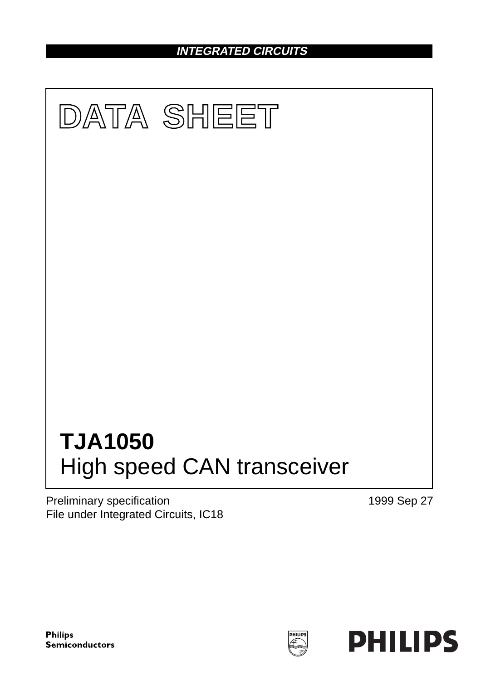## **INTEGRATED CIRCUITS**



Preliminary specification File under Integrated Circuits, IC18 1999 Sep 27

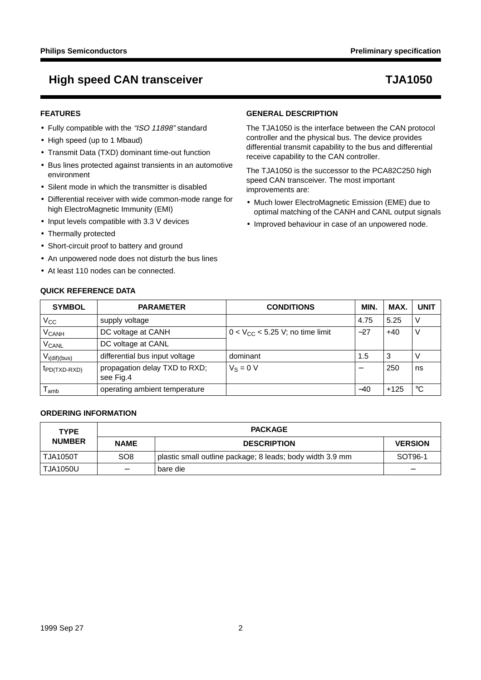### **FEATURES**

- Fully compatible with the "ISO 11898" standard
- High speed (up to 1 Mbaud)
- Transmit Data (TXD) dominant time-out function
- Bus lines protected against transients in an automotive environment
- Silent mode in which the transmitter is disabled
- Differential receiver with wide common-mode range for high ElectroMagnetic Immunity (EMI)
- Input levels compatible with 3.3 V devices
- Thermally protected

**QUICK REFERENCE DATA**

- Short-circuit proof to battery and ground
- An unpowered node does not disturb the bus lines
- At least 110 nodes can be connected.

## **GENERAL DESCRIPTION**

The TJA1050 is the interface between the CAN protocol controller and the physical bus. The device provides differential transmit capability to the bus and differential receive capability to the CAN controller.

The TJA1050 is the successor to the PCA82C250 high speed CAN transceiver. The most important improvements are:

- Much lower ElectroMagnetic Emission (EME) due to optimal matching of the CANH and CANL output signals
- Improved behaviour in case of an unpowered node.

| <b>SYMBOL</b>            | <b>PARAMETER</b>                           | <b>CONDITIONS</b>                    | MIN.  | MAX.   | <b>UNIT</b> |
|--------------------------|--------------------------------------------|--------------------------------------|-------|--------|-------------|
| $V_{CC}$                 | supply voltage                             |                                      | 4.75  | 5.25   | ν           |
| <b>V<sub>CANH</sub></b>  | DC voltage at CANH                         | $0 < V_{CC} < 5.25$ V; no time limit | $-27$ | $+40$  | ν           |
| V <sub>CANL</sub>        | DC voltage at CANL                         |                                      |       |        |             |
| $V_{i\text{(dif)(bus)}}$ | differential bus input voltage             | dominant                             | 1.5   | 3      |             |
| $t_{\text{PD(TXD-RXD)}}$ | propagation delay TXD to RXD;<br>see Fig.4 | $V_S = 0 V$                          |       | 250    | ns          |
| $T_{amb}$                | operating ambient temperature              |                                      | $-40$ | $+125$ | °C          |

### **ORDERING INFORMATION**

| <b>TYPE</b>     | <b>PACKAGE</b>  |                                                           |                |  |
|-----------------|-----------------|-----------------------------------------------------------|----------------|--|
| <b>NUMBER</b>   | <b>NAME</b>     | <b>DESCRIPTION</b>                                        | <b>VERSION</b> |  |
| <b>TJA1050T</b> | SO <sub>8</sub> | plastic small outline package; 8 leads; body width 3.9 mm | SOT96-1        |  |
| TJA1050U        |                 | bare die                                                  |                |  |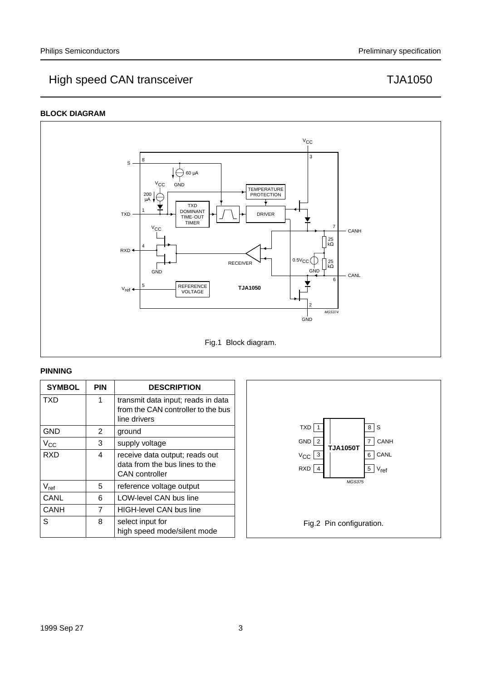### **BLOCK DIAGRAM**



### **PINNING**

| <b>SYMBOL</b> | <b>PIN</b>     | <b>DESCRIPTION</b>                                                                        |
|---------------|----------------|-------------------------------------------------------------------------------------------|
| TXD           | 1              | transmit data input; reads in data<br>from the CAN controller to the bus<br>line drivers  |
| <b>GND</b>    | $\overline{2}$ | ground                                                                                    |
| $V_{CC}$      | 3              | supply voltage                                                                            |
| RXD           | 4              | receive data output; reads out<br>data from the bus lines to the<br><b>CAN</b> controller |
| $V_{ref}$     | 5              | reference voltage output                                                                  |
| CANL          | 6              | LOW-level CAN bus line                                                                    |
| <b>CANH</b>   | 7              | HIGH-level CAN bus line                                                                   |
| S             | 8              | select input for<br>high speed mode/silent mode                                           |

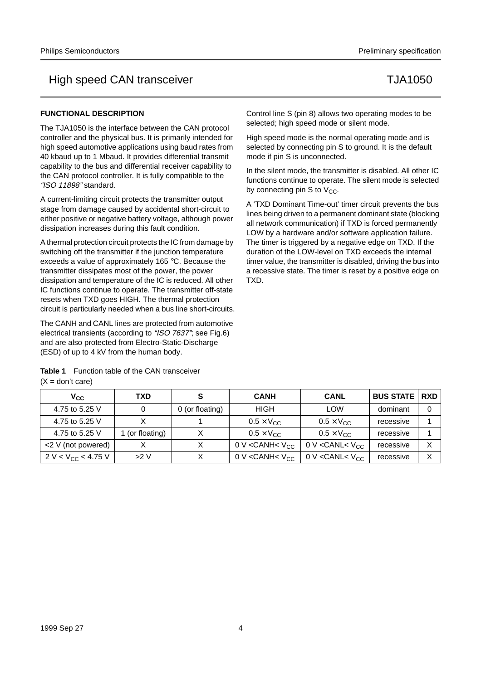### **FUNCTIONAL DESCRIPTION**

The TJA1050 is the interface between the CAN protocol controller and the physical bus. It is primarily intended for high speed automotive applications using baud rates from 40 kbaud up to 1 Mbaud. It provides differential transmit capability to the bus and differential receiver capability to the CAN protocol controller. It is fully compatible to the "ISO 11898" standard.

A current-limiting circuit protects the transmitter output stage from damage caused by accidental short-circuit to either positive or negative battery voltage, although power dissipation increases during this fault condition.

A thermal protection circuit protects the IC from damage by switching off the transmitter if the junction temperature exceeds a value of approximately 165 °C. Because the transmitter dissipates most of the power, the power dissipation and temperature of the IC is reduced. All other IC functions continue to operate. The transmitter off-state resets when TXD goes HIGH. The thermal protection circuit is particularly needed when a bus line short-circuits.

The CANH and CANL lines are protected from automotive electrical transients (according to "ISO 7637"; see Fig.6) and are also protected from Electro-Static-Discharge (ESD) of up to 4 kV from the human body.

**Table 1** Function table of the CAN transceiver  $(X = don't care)$ 

Control line S (pin 8) allows two operating modes to be selected; high speed mode or silent mode.

High speed mode is the normal operating mode and is selected by connecting pin S to ground. It is the default mode if pin S is unconnected.

In the silent mode, the transmitter is disabled. All other IC functions continue to operate. The silent mode is selected by connecting pin S to  $V_{CC}$ .

A 'TXD Dominant Time-out' timer circuit prevents the bus lines being driven to a permanent dominant state (blocking all network communication) if TXD is forced permanently LOW by a hardware and/or software application failure. The timer is triggered by a negative edge on TXD. If the duration of the LOW-level on TXD exceeds the internal timer value, the transmitter is disabled, driving the bus into a recessive state. The timer is reset by a positive edge on TXD.

| $V_{\rm CC}$            | TXD           | S               | <b>CANH</b>                            | <b>CANL</b>                            | <b>BUS STATE</b> | <b>RXD</b> |
|-------------------------|---------------|-----------------|----------------------------------------|----------------------------------------|------------------|------------|
| 4.75 to 5.25 V          |               | 0 (or floating) | <b>HIGH</b>                            | <b>LOW</b>                             | dominant         | 0          |
| 4.75 to 5.25 V          |               |                 | $0.5 \times V_{\rm CC}$                | $0.5 \times V_{CC}$                    | recessive        |            |
| 4.75 to 5.25 V          | (or floating) |                 | $0.5 \times V_{CC}$                    | $0.5 \times V_{CC}$                    | recessive        |            |
| <2 V (not powered)      |               |                 | $0 \text{ V}$ < CANH < $V_{CC}$        | $0 \text{ V}$ < CANL < $V_{\text{CC}}$ | recessive        | Χ          |
| 2 V < $V_{CC}$ < 4.75 V | >2V           |                 | $0 \text{ V}$ < CANH < $V_{\text{CC}}$ | $0 \text{ V}$ < CANL < $V_{\text{CC}}$ | recessive        | Χ          |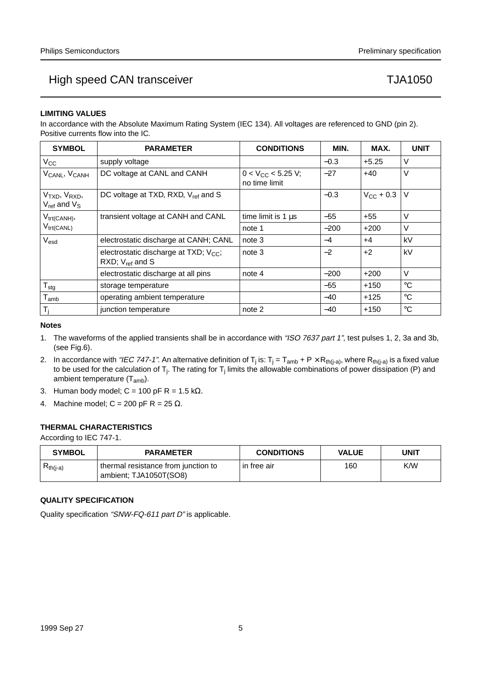### **LIMITING VALUES**

In accordance with the Absolute Maximum Rating System (IEC 134). All voltages are referenced to GND (pin 2). Positive currents flow into the IC.

| <b>SYMBOL</b>                                                | <b>PARAMETER</b>                                                             | <b>CONDITIONS</b>                        | MIN.   | MAX.               | <b>UNIT</b> |
|--------------------------------------------------------------|------------------------------------------------------------------------------|------------------------------------------|--------|--------------------|-------------|
| $V_{\rm CC}$                                                 | supply voltage                                                               |                                          | $-0.3$ | $+5.25$            | V           |
| V <sub>CANL</sub> , V <sub>CANH</sub>                        | DC voltage at CANL and CANH                                                  | $0 < V_{CC} < 5.25 V$ ;<br>no time limit | $-27$  | +40                | $\vee$      |
| V <sub>TXD</sub> , V <sub>RXD</sub> ,<br>$V_{ref}$ and $V_S$ | DC voltage at TXD, RXD, V <sub>ref</sub> and S                               |                                          | $-0.3$ | $V_{\rm CC}$ + 0.3 | V           |
| $V_{trt(CANH)}$ ,                                            | transient voltage at CANH and CANL                                           | time limit is $1 \mu s$                  | $-55$  | $+55$              | V           |
| $V_{\text{trt(CANL)}}$                                       |                                                                              | note 1                                   | $-200$ | $+200$             | V           |
| $V_{esd}$                                                    | electrostatic discharge at CANH; CANL                                        | note 3                                   | $-4$   | $+4$               | kV          |
|                                                              | electrostatic discharge at TXD; V <sub>CC</sub> ;<br>$RXD$ ; $V_{ref}$ and S | note 3                                   | $-2$   | $+2$               | kV          |
|                                                              | electrostatic discharge at all pins                                          | note 4                                   | $-200$ | $+200$             | V           |
| $T_{\text{stg}}$                                             | storage temperature                                                          |                                          | $-55$  | +150               | $^{\circ}C$ |
| $\mathsf{T}_{\mathsf{amb}}$                                  | operating ambient temperature                                                |                                          | $-40$  | $+125$             | $^{\circ}C$ |
| $T_j$                                                        | junction temperature                                                         | note 2                                   | $-40$  | $+150$             | $^{\circ}C$ |

### **Notes**

- 1. The waveforms of the applied transients shall be in accordance with "ISO 7637 part 1", test pulses 1, 2, 3a and 3b, (see Fig.6).
- 2. In accordance with "IEC 747-1". An alternative definition of  $T_j$  is:  $T_j = T_{amb} + P \times R_{th(j-a)}$ , where  $R_{th(j-a)}$  is a fixed value to be used for the calculation of T<sub>j</sub>. The rating for T<sub>j</sub> limits the allowable combinations of power dissipation (P) and ambient temperature (T<sub>amb</sub>).
- 3. Human body model;  $C = 100$  pF R = 1.5 k $\Omega$ .
- 4. Machine model; C = 200 pF R = 25  $\Omega$ .

### **THERMAL CHARACTERISTICS**

### According to IEC 747-1.

| <b>SYMBOL</b> | <b>PARAMETER</b>                                              | <b>CONDITIONS</b> | <b>VALUE</b> | UNIT |
|---------------|---------------------------------------------------------------|-------------------|--------------|------|
| $R_{th(i-a)}$ | thermal resistance from junction to<br>ambient; TJA1050T(SO8) | in free air       | 160          | K/W  |

### **QUALITY SPECIFICATION**

Quality specification "SNW-FQ-611 part D" is applicable.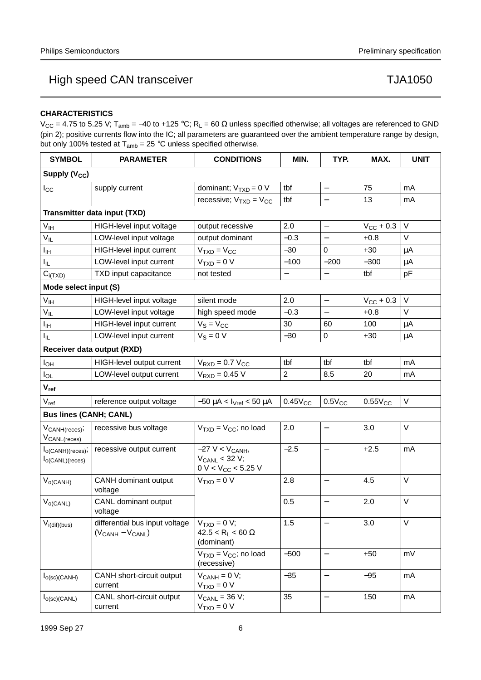### **CHARACTERISTICS**

V<sub>CC</sub> = 4.75 to 5.25 V; T<sub>amb</sub> = -40 to +125 °C; R<sub>L</sub> = 60 Ω unless specified otherwise; all voltages are referenced to GND (pin 2); positive currents flow into the IC; all parameters are guaranteed over the ambient temperature range by design, but only 100% tested at  $T_{amb} = 25$  °C unless specified otherwise.

| <b>SYMBOL</b>                                          | <b>PARAMETER</b>                                          | <b>CONDITIONS</b>                                                       | MIN.              | TYP.                     | MAX.                  | <b>UNIT</b> |
|--------------------------------------------------------|-----------------------------------------------------------|-------------------------------------------------------------------------|-------------------|--------------------------|-----------------------|-------------|
| Supply (V <sub>cc</sub> )                              |                                                           |                                                                         |                   |                          |                       |             |
| $I_{\rm CC}$                                           | supply current                                            | dominant; $V_{TXD} = 0 V$                                               | tbf               | $\overline{\phantom{0}}$ | 75                    | mA          |
|                                                        |                                                           | recessive; $V_{TXD} = V_{CC}$                                           | tbf               | $\overline{\phantom{0}}$ | 13                    | mA          |
|                                                        | Transmitter data input (TXD)                              |                                                                         |                   |                          |                       |             |
| V <sub>IH</sub>                                        | HIGH-level input voltage                                  | output recessive                                                        | 2.0               | $\overline{\phantom{0}}$ | $V_{\text{CC}} + 0.3$ | $\vee$      |
| $\mathsf{V}_{\mathsf{IL}}$                             | LOW-level input voltage                                   | output dominant                                                         | $-0.3$            | $\overline{\phantom{0}}$ | $+0.8$                | $\vee$      |
| Iщ                                                     | HIGH-level input current                                  | $VTXD = VCC$                                                            | $-30$             | 0                        | $+30$                 | μA          |
| $I_{\parallel L}$                                      | LOW-level input current                                   | $VTXD = 0 V$                                                            | $-100$            | $-200$                   | $-300$                | μA          |
| $C_{i(TXD)}$                                           | TXD input capacitance                                     | not tested                                                              | $\qquad \qquad -$ | $\qquad \qquad -$        | tbf                   | pF          |
| Mode select input (S)                                  |                                                           |                                                                         |                   |                          |                       |             |
| V <sub>IH</sub>                                        | HIGH-level input voltage                                  | silent mode                                                             | 2.0               | $\overline{\phantom{0}}$ | $V_{\text{CC}} + 0.3$ | $\vee$      |
| $V_{IL}$                                               | LOW-level input voltage                                   | high speed mode                                                         | $-0.3$            | $\overline{\phantom{0}}$ | $+0.8$                | $\vee$      |
| Iщ                                                     | HIGH-level input current                                  | $V_S = V_{CC}$                                                          | 30                | 60                       | 100                   | μA          |
| I <sub>IL</sub>                                        | LOW-level input current                                   | $V_S = 0 V$                                                             | $-30$             | 0                        | $+30$                 | μA          |
|                                                        | Receiver data output (RXD)                                |                                                                         |                   |                          |                       |             |
| $I_{OH}$                                               | HIGH-level output current                                 | $VRXD = 0.7 VCC$                                                        | tbf               | tbf                      | tbf                   | mA          |
| $I_{OL}$                                               | LOW-level output current                                  | $V_{RXD} = 0.45 V$                                                      | $\overline{c}$    | 8.5                      | 20                    | mA          |
| V <sub>ref</sub>                                       |                                                           |                                                                         |                   |                          |                       |             |
| $V_{\text{ref}}$                                       | reference output voltage                                  | $-50 \mu A < I_{Vref} < 50 \mu A$                                       | $0.45V_{CC}$      | $0.5V_{CC}$              | $0.55V_{CC}$          | V           |
| <b>Bus lines (CANH; CANL)</b>                          |                                                           |                                                                         |                   |                          |                       |             |
| V <sub>CANH</sub> (reces);<br>V <sub>CANL(reces)</sub> | recessive bus voltage                                     | $VTXD = VCC; no load$                                                   | 2.0               | $\overline{\phantom{0}}$ | 3.0                   | $\vee$      |
| $I_{O(CANH)(reces)}$<br>$I_{O(CANL)(reces)}$           | recessive output current                                  | $-27$ V < $V_{CANH}$ ,<br>$V_{CANL}$ < 32 V;<br>$0 V < V_{CC} < 5.25 V$ | $-2.5$            | $\overline{\phantom{0}}$ | $+2.5$                | mA          |
| $V_{O(CANH)}$                                          | CANH dominant output<br>voltage                           | $VTXD = 0 V$                                                            | 2.8               | $\overline{\phantom{0}}$ | 4.5                   | $\vee$      |
| $V_{o(CANL)}$                                          | CANL dominant output<br>voltage                           |                                                                         | 0.5               | $\overline{\phantom{0}}$ | 2.0                   | V           |
| $V_{i\text{(dif)(bus)}}$                               | differential bus input voltage<br>$(V_{CANH} - V_{CANL})$ | $VTXD = 0 V;$<br>$42.5 < R_1 < 60 \Omega$<br>(dominant)                 | 1.5               |                          | 3.0                   | V           |
|                                                        |                                                           | $VTXD = VCC; no load$<br>(recessive)                                    | $-500$            | $\overline{\phantom{0}}$ | $+50$                 | mV          |
| $I_{O(SC)(CANH)}$                                      | CANH short-circuit output<br>current                      | $V_{CANH} = 0 V;$<br>$VTXD = 0 V$                                       | $-35$             | $\overline{\phantom{0}}$ | $-95$                 | mA          |
| $I_{O(SC)(CANL)}$                                      | CANL short-circuit output<br>current                      | $V_{CANL}$ = 36 V;<br>$VTXD = 0 V$                                      | 35                |                          | 150                   | mA          |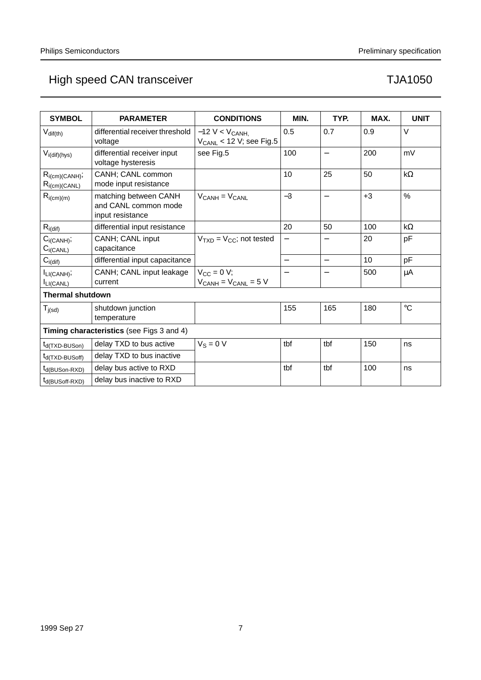| <b>SYMBOL</b>                             | <b>PARAMETER</b>                | <b>CONDITIONS</b>            | MIN. | TYP.                     | MAX. | <b>UNIT</b>     |
|-------------------------------------------|---------------------------------|------------------------------|------|--------------------------|------|-----------------|
|                                           |                                 |                              |      |                          |      |                 |
| $V_{diff(th)}$                            | differential receiver threshold | $-12$ V < V <sub>CANH.</sub> | 0.5  | 0.7                      | 0.9  | $\vee$          |
|                                           | voltage                         | $V_{CANL}$ < 12 V; see Fig.5 |      |                          |      |                 |
| $V_{i\text{(dif)(hys)}}$                  | differential receiver input     | see Fig.5                    | 100  | $\qquad \qquad -$        | 200  | mV              |
|                                           | voltage hysteresis              |                              |      |                          |      |                 |
| $R_{i(cm)(CANH)};$                        | CANH; CANL common               |                              | 10   | 25                       | 50   | $k\Omega$       |
| $R_{i(cm)(CANL)}$                         | mode input resistance           |                              |      |                          |      |                 |
| $R_{i(cm)(m)}$                            | matching between CANH           | $V_{CANH} = V_{CANL}$        | $-3$ |                          | $+3$ | $\frac{0}{0}$   |
|                                           | and CANL common mode            |                              |      |                          |      |                 |
|                                           | input resistance                |                              |      |                          |      |                 |
| $R_{i(\underline{di}f)}$                  | differential input resistance   |                              | 20   | 50                       | 100  | $k\Omega$       |
| $C_{i(CANH)}$                             | CANH; CANL input                | $VTXD = VCC; not tested$     |      | $\overline{\phantom{0}}$ | 20   | pF              |
| $\mathrm{C_{i(CANL)}}$                    | capacitance                     |                              |      |                          |      |                 |
| $C_{i(\text{dif})}$                       | differential input capacitance  |                              |      | $\overline{\phantom{0}}$ | 10   | рF              |
| $I_{LI(CANH)}$                            | CANH; CANL input leakage        | $V_{CC} = 0 V$ ;             |      |                          | 500  | μA              |
| ILI(CANL)                                 | current                         | $V_{CANH} = V_{CANL} = 5 V$  |      |                          |      |                 |
| <b>Thermal shutdown</b>                   |                                 |                              |      |                          |      |                 |
| $\mathsf{T}_{\mathsf{j}(\mathsf{sd})}$    | shutdown junction               |                              | 155  | 165                      | 180  | $\rm ^{\circ}C$ |
|                                           | temperature                     |                              |      |                          |      |                 |
| Timing characteristics (see Figs 3 and 4) |                                 |                              |      |                          |      |                 |
| t <sub>d(TXD-BUSon)</sub>                 | delay TXD to bus active         | $V_S = 0 V$                  | tbf  | tbf                      | 150  | ns              |
| t <sub>d(TXD-BUSoff)</sub>                | delay TXD to bus inactive       |                              |      |                          |      |                 |
| t <sub>d(BUSon-RXD)</sub>                 | delay bus active to RXD         |                              | tbf  | tbf                      | 100  | ns              |
| t <sub>d</sub> (BUSoff-RXD)               | delay bus inactive to RXD       |                              |      |                          |      |                 |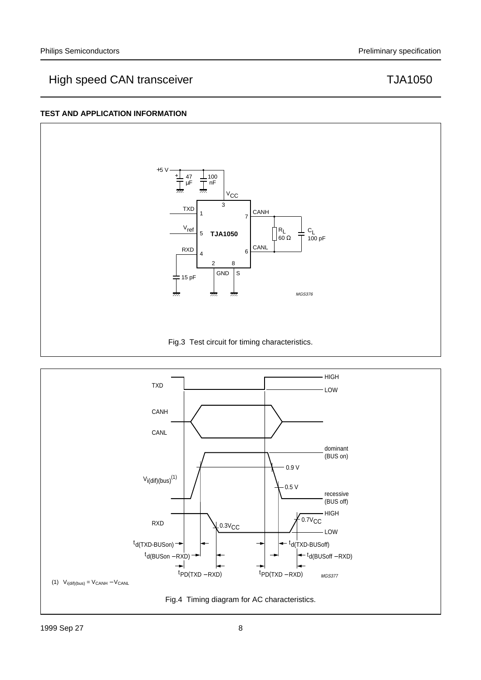### **TEST AND APPLICATION INFORMATION**



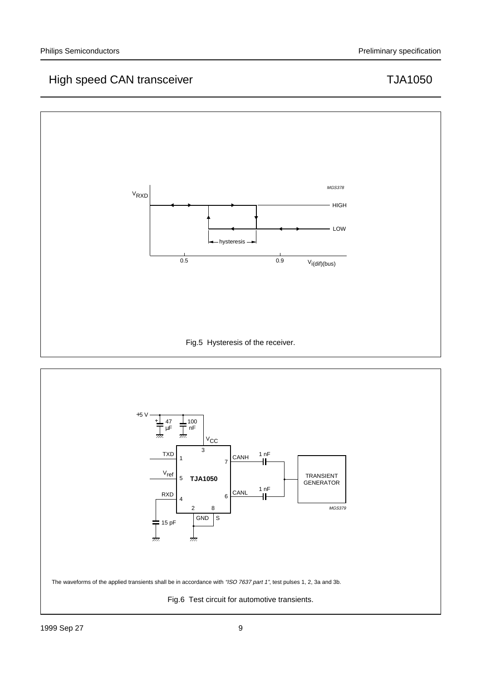

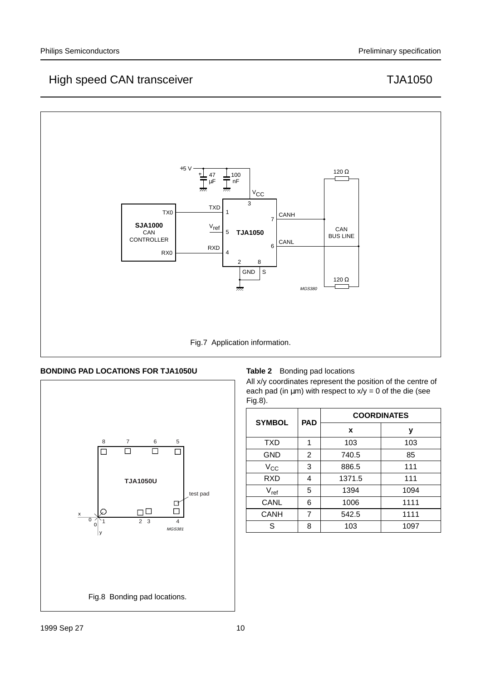

### **BONDING PAD LOCATIONS FOR TJA1050U Table 2** Bonding pad locations



All x/y coordinates represent the position of the centre of each pad (in  $\mu$ m) with respect to  $x/y = 0$  of the die (see Fig.8).

| <b>SYMBOL</b>               | <b>PAD</b> | <b>COORDINATES</b> |      |  |  |
|-----------------------------|------------|--------------------|------|--|--|
|                             |            | x                  | ۷    |  |  |
| <b>TXD</b>                  | 1          | 103                | 103  |  |  |
| GND                         | 2          | 740.5              | 85   |  |  |
| $V_{\rm CC}$                | 3          | 886.5              | 111  |  |  |
| <b>RXD</b>                  | 4          | 1371.5             | 111  |  |  |
| $\mathsf{V}_{\mathsf{ref}}$ | 5          | 1394               | 1094 |  |  |
| CANL                        | 6          | 1006               | 1111 |  |  |
| CANH                        | 7          | 542.5              | 1111 |  |  |
| S                           | 8          | 103                | 1097 |  |  |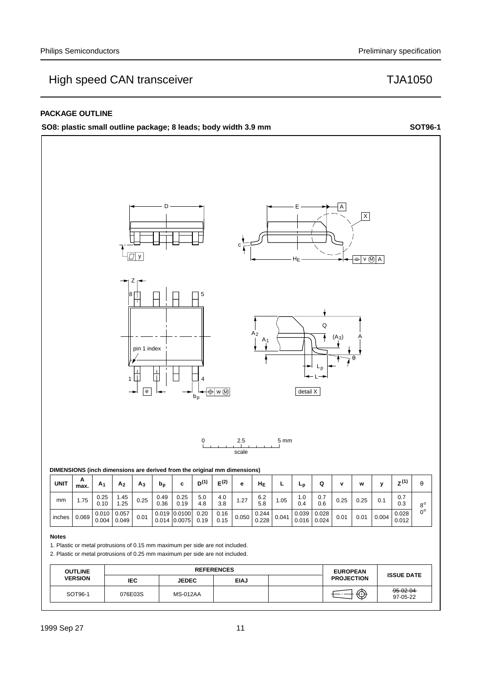### **PACKAGE OUTLINE**

### **SO8: plastic small outline package; 8 leads; body width 3.9 mm SOT96-1**

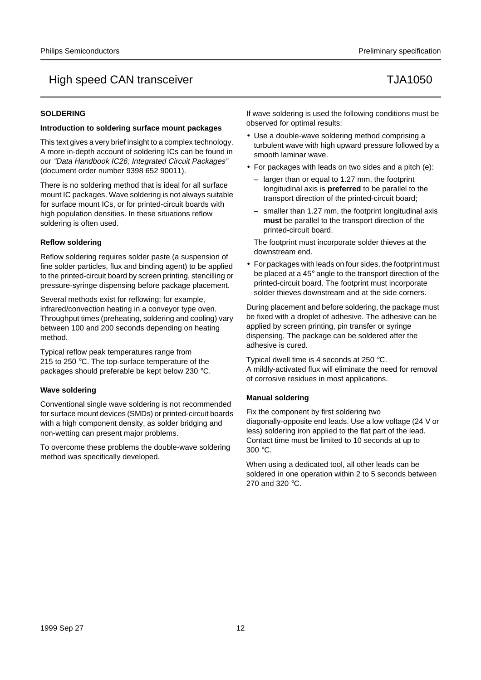### **SOLDERING**

### **Introduction to soldering surface mount packages**

This text gives a very brief insight to a complex technology. A more in-depth account of soldering ICs can be found in our "Data Handbook IC26; Integrated Circuit Packages" (document order number 9398 652 90011).

There is no soldering method that is ideal for all surface mount IC packages. Wave soldering is not always suitable for surface mount ICs, or for printed-circuit boards with high population densities. In these situations reflow soldering is often used.

### **Reflow soldering**

Reflow soldering requires solder paste (a suspension of fine solder particles, flux and binding agent) to be applied to the printed-circuit board by screen printing, stencilling or pressure-syringe dispensing before package placement.

Several methods exist for reflowing; for example, infrared/convection heating in a conveyor type oven. Throughput times (preheating, soldering and cooling) vary between 100 and 200 seconds depending on heating method.

Typical reflow peak temperatures range from 215 to 250 °C. The top-surface temperature of the packages should preferable be kept below 230 °C.

### **Wave soldering**

Conventional single wave soldering is not recommended for surface mount devices (SMDs) or printed-circuit boards with a high component density, as solder bridging and non-wetting can present major problems.

To overcome these problems the double-wave soldering method was specifically developed.

If wave soldering is used the following conditions must be observed for optimal results:

- Use a double-wave soldering method comprising a turbulent wave with high upward pressure followed by a smooth laminar wave.
- For packages with leads on two sides and a pitch (e):
	- larger than or equal to 1.27 mm, the footprint longitudinal axis is **preferred** to be parallel to the transport direction of the printed-circuit board;
	- smaller than 1.27 mm, the footprint longitudinal axis **must** be parallel to the transport direction of the printed-circuit board.

The footprint must incorporate solder thieves at the downstream end.

• For packages with leads on four sides, the footprint must be placed at a 45° angle to the transport direction of the printed-circuit board. The footprint must incorporate solder thieves downstream and at the side corners.

During placement and before soldering, the package must be fixed with a droplet of adhesive. The adhesive can be applied by screen printing, pin transfer or syringe dispensing. The package can be soldered after the adhesive is cured.

Typical dwell time is 4 seconds at 250 °C. A mildly-activated flux will eliminate the need for removal of corrosive residues in most applications.

### **Manual soldering**

Fix the component by first soldering two diagonally-opposite end leads. Use a low voltage (24 V or less) soldering iron applied to the flat part of the lead. Contact time must be limited to 10 seconds at up to 300 °C.

When using a dedicated tool, all other leads can be soldered in one operation within 2 to 5 seconds between 270 and 320 °C.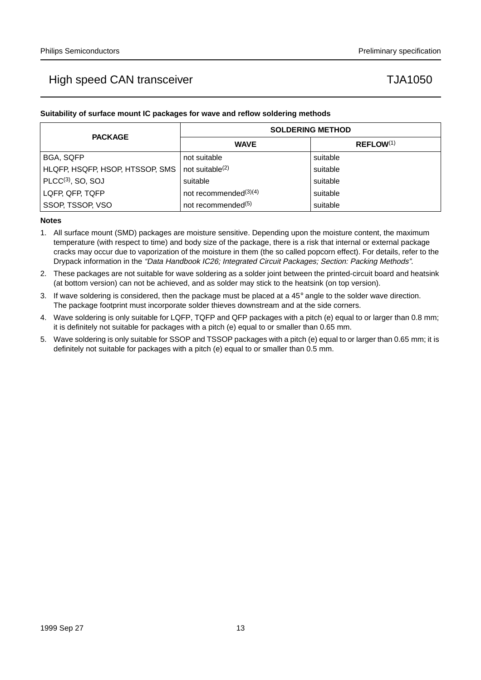### **Suitability of surface mount IC packages for wave and reflow soldering methods**

| <b>PACKAGE</b>                  | <b>SOLDERING METHOD</b>        |                       |  |  |  |
|---------------------------------|--------------------------------|-----------------------|--|--|--|
|                                 | <b>WAVE</b>                    | REFLOW <sup>(1)</sup> |  |  |  |
| <b>BGA, SQFP</b>                | not suitable                   | suitable              |  |  |  |
| HLQFP, HSQFP, HSOP, HTSSOP, SMS | not suitable $(2)$             | suitable              |  |  |  |
| $PLCC(3)$ , SO, SOJ             | suitable                       | suitable              |  |  |  |
| LQFP, QFP, TQFP                 | not recommended $(3)(4)$       | suitable              |  |  |  |
| SSOP, TSSOP, VSO                | not recommended <sup>(5)</sup> | suitable              |  |  |  |

### **Notes**

- 1. All surface mount (SMD) packages are moisture sensitive. Depending upon the moisture content, the maximum temperature (with respect to time) and body size of the package, there is a risk that internal or external package cracks may occur due to vaporization of the moisture in them (the so called popcorn effect). For details, refer to the Drypack information in the "Data Handbook IC26; Integrated Circuit Packages; Section: Packing Methods".
- 2. These packages are not suitable for wave soldering as a solder joint between the printed-circuit board and heatsink (at bottom version) can not be achieved, and as solder may stick to the heatsink (on top version).
- 3. If wave soldering is considered, then the package must be placed at a  $45^\circ$  angle to the solder wave direction. The package footprint must incorporate solder thieves downstream and at the side corners.
- 4. Wave soldering is only suitable for LQFP, TQFP and QFP packages with a pitch (e) equal to or larger than 0.8 mm; it is definitely not suitable for packages with a pitch (e) equal to or smaller than 0.65 mm.
- 5. Wave soldering is only suitable for SSOP and TSSOP packages with a pitch (e) equal to or larger than 0.65 mm; it is definitely not suitable for packages with a pitch (e) equal to or smaller than 0.5 mm.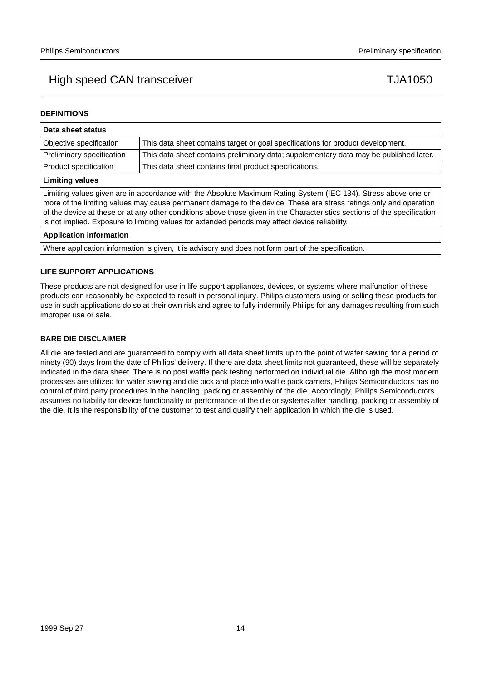### **DEFINITIONS**

| Data sheet status                                                                                                                                                                                                                                                                                                                                                                                                                                                  |                                                                                       |  |  |  |
|--------------------------------------------------------------------------------------------------------------------------------------------------------------------------------------------------------------------------------------------------------------------------------------------------------------------------------------------------------------------------------------------------------------------------------------------------------------------|---------------------------------------------------------------------------------------|--|--|--|
| Objective specification                                                                                                                                                                                                                                                                                                                                                                                                                                            | This data sheet contains target or goal specifications for product development.       |  |  |  |
| Preliminary specification                                                                                                                                                                                                                                                                                                                                                                                                                                          | This data sheet contains preliminary data; supplementary data may be published later. |  |  |  |
| Product specification                                                                                                                                                                                                                                                                                                                                                                                                                                              | This data sheet contains final product specifications.                                |  |  |  |
| <b>Limiting values</b>                                                                                                                                                                                                                                                                                                                                                                                                                                             |                                                                                       |  |  |  |
| Limiting values given are in accordance with the Absolute Maximum Rating System (IEC 134). Stress above one or<br>more of the limiting values may cause permanent damage to the device. These are stress ratings only and operation<br>of the device at these or at any other conditions above those given in the Characteristics sections of the specification<br>is not implied. Exposure to limiting values for extended periods may affect device reliability. |                                                                                       |  |  |  |
| <b>Application information</b>                                                                                                                                                                                                                                                                                                                                                                                                                                     |                                                                                       |  |  |  |

Where application information is given, it is advisory and does not form part of the specification.

### **LIFE SUPPORT APPLICATIONS**

These products are not designed for use in life support appliances, devices, or systems where malfunction of these products can reasonably be expected to result in personal injury. Philips customers using or selling these products for use in such applications do so at their own risk and agree to fully indemnify Philips for any damages resulting from such improper use or sale.

### **BARE DIE DISCLAIMER**

All die are tested and are guaranteed to comply with all data sheet limits up to the point of wafer sawing for a period of ninety (90) days from the date of Philips' delivery. If there are data sheet limits not guaranteed, these will be separately indicated in the data sheet. There is no post waffle pack testing performed on individual die. Although the most modern processes are utilized for wafer sawing and die pick and place into waffle pack carriers, Philips Semiconductors has no control of third party procedures in the handling, packing or assembly of the die. Accordingly, Philips Semiconductors assumes no liability for device functionality or performance of the die or systems after handling, packing or assembly of the die. It is the responsibility of the customer to test and qualify their application in which the die is used.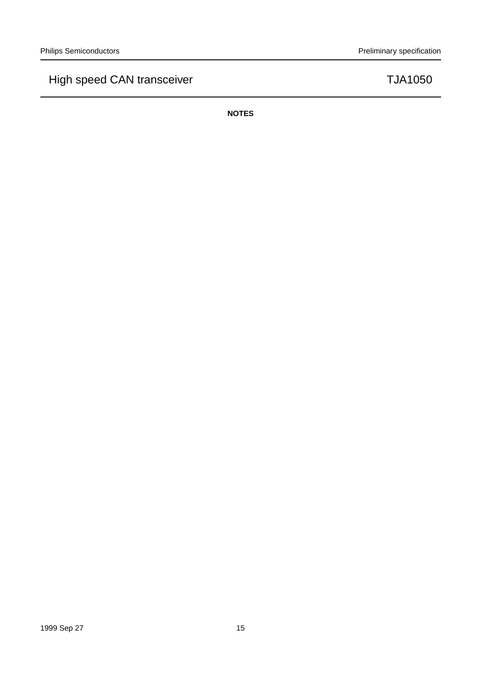**NOTES**